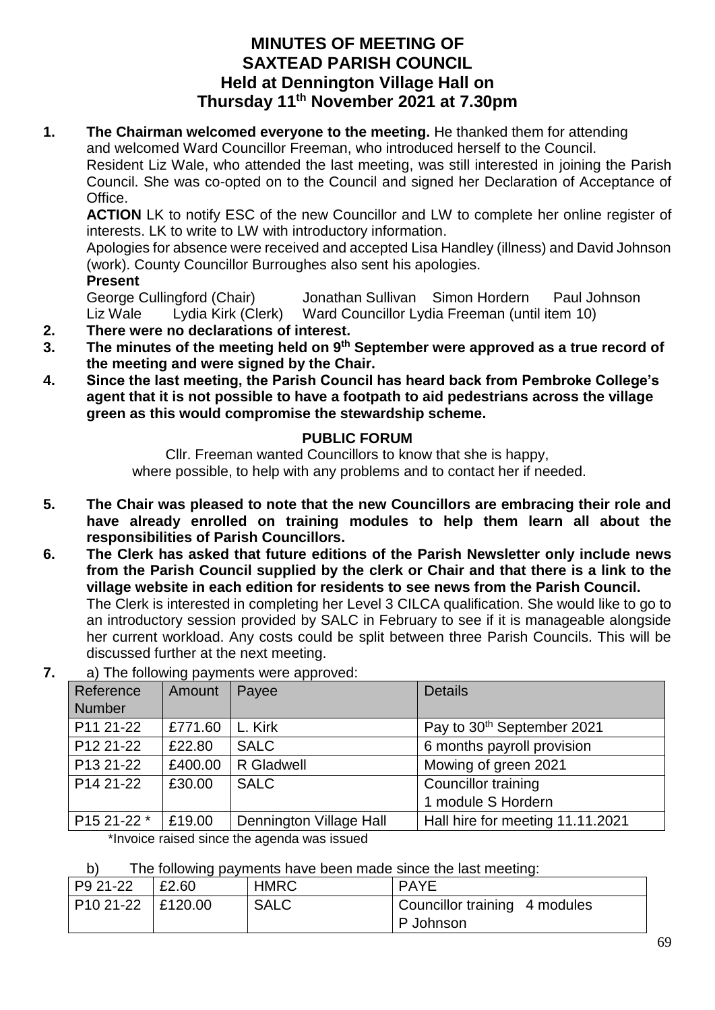## **MINUTES OF MEETING OF SAXTEAD PARISH COUNCIL Held at Dennington Village Hall on Thursday 11th November 2021 at 7.30pm**

**1.** The Chairman welcomed everyone to the meeting. He thanked them for attending and welcomed Ward Councillor Freeman, who introduced herself to the Council. Resident Liz Wale, who attended the last meeting, was still interested in joining the Parish Council. She was co-opted on to the Council and signed her Declaration of Acceptance of Office.

**ACTION** LK to notify ESC of the new Councillor and LW to complete her online register of interests. LK to write to LW with introductory information.

Apologies for absence were received and accepted Lisa Handley (illness) and David Johnson (work). County Councillor Burroughes also sent his apologies.

**Present**

George Cullingford (Chair) Jonathan Sullivan Simon Hordern Paul Johnson Liz Wale Lydia Kirk (Clerk) Ward Councillor Lydia Freeman (until item 10)

- **2. There were no declarations of interest.**
- **3. The minutes of the meeting held on 9 th September were approved as a true record of the meeting and were signed by the Chair.**
- **4. Since the last meeting, the Parish Council has heard back from Pembroke College's agent that it is not possible to have a footpath to aid pedestrians across the village green as this would compromise the stewardship scheme.**

### **PUBLIC FORUM**

Cllr. Freeman wanted Councillors to know that she is happy, where possible, to help with any problems and to contact her if needed.

- **5. The Chair was pleased to note that the new Councillors are embracing their role and have already enrolled on training modules to help them learn all about the responsibilities of Parish Councillors.**
- **6. The Clerk has asked that future editions of the Parish Newsletter only include news from the Parish Council supplied by the clerk or Chair and that there is a link to the village website in each edition for residents to see news from the Parish Council.**  The Clerk is interested in completing her Level 3 CILCA qualification. She would like to go to an introductory session provided by SALC in February to see if it is manageable alongside her current workload. Any costs could be split between three Parish Councils. This will be discussed further at the next meeting.

| $\alpha$ , $\beta$ , $\beta$ , $\beta$ , $\alpha$ , $\beta$ , $\beta$ , $\beta$ , $\beta$ , $\beta$ , $\beta$ , $\beta$ , $\beta$ , $\beta$ , $\beta$ , $\beta$ , $\beta$ , $\beta$ , $\beta$ , $\beta$ , $\beta$ , $\beta$ , $\beta$ , $\beta$ , $\beta$ , $\beta$ , $\beta$ , $\beta$ , $\beta$ , $\beta$ , $\beta$ , $\beta$ , $\beta$ , $\beta$ , $\beta$ , $\beta$ , $\beta$ , |         |                         |                                        |  |
|-------------------------------------------------------------------------------------------------------------------------------------------------------------------------------------------------------------------------------------------------------------------------------------------------------------------------------------------------------------------------------------|---------|-------------------------|----------------------------------------|--|
| Reference                                                                                                                                                                                                                                                                                                                                                                           | Amount  | Payee                   | <b>Details</b>                         |  |
| <b>Number</b>                                                                                                                                                                                                                                                                                                                                                                       |         |                         |                                        |  |
| P11 21-22                                                                                                                                                                                                                                                                                                                                                                           | £771.60 | L. Kirk                 | Pay to 30 <sup>th</sup> September 2021 |  |
| P <sub>12</sub> 21-22                                                                                                                                                                                                                                                                                                                                                               | £22.80  | <b>SALC</b>             | 6 months payroll provision             |  |
| P <sub>13</sub> 21-22                                                                                                                                                                                                                                                                                                                                                               | £400.00 | R Gladwell              | Mowing of green 2021                   |  |
| P <sub>14</sub> 21-22                                                                                                                                                                                                                                                                                                                                                               | £30.00  | <b>SALC</b>             | Councillor training                    |  |
|                                                                                                                                                                                                                                                                                                                                                                                     |         |                         | 1 module S Hordern                     |  |
| P15 21-22 *                                                                                                                                                                                                                                                                                                                                                                         | £19.00  | Dennington Village Hall | Hall hire for meeting 11.11.2021       |  |
| *Invoice raised since the agenda was issued                                                                                                                                                                                                                                                                                                                                         |         |                         |                                        |  |

**7.** a) The following payments were approved:

b) The following payments have been made since the last meeting:

| P9 21-22            | £2.60 | <b>HMRC</b> | <b>PAYE</b>                   |
|---------------------|-------|-------------|-------------------------------|
| P10 21-22   £120.00 |       | <b>SALC</b> | Councillor training 4 modules |
|                     |       |             | P Johnson                     |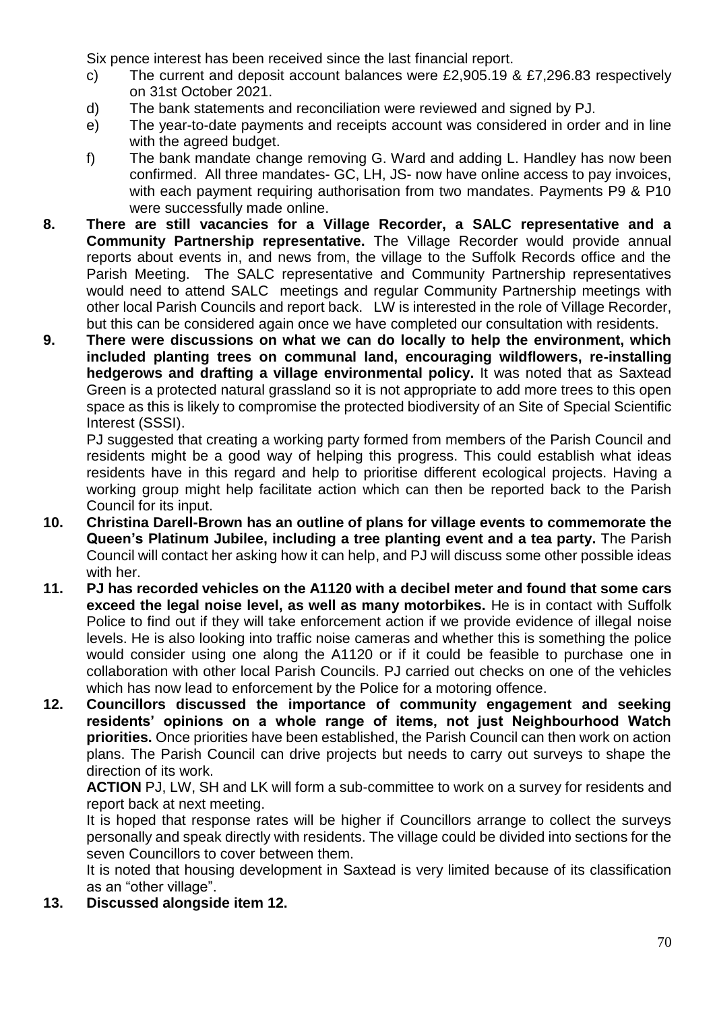Six pence interest has been received since the last financial report.

- c) The current and deposit account balances were £2,905.19 & £7,296.83 respectively on 31st October 2021.
- d) The bank statements and reconciliation were reviewed and signed by PJ.
- e) The year-to-date payments and receipts account was considered in order and in line with the agreed budget.
- f) The bank mandate change removing G. Ward and adding L. Handley has now been confirmed. All three mandates- GC, LH, JS- now have online access to pay invoices, with each payment requiring authorisation from two mandates. Payments P9 & P10 were successfully made online.
- **8. There are still vacancies for a Village Recorder, a SALC representative and a Community Partnership representative.** The Village Recorder would provide annual reports about events in, and news from, the village to the Suffolk Records office and the Parish Meeting. The SALC representative and Community Partnership representatives would need to attend SALC meetings and regular Community Partnership meetings with other local Parish Councils and report back. LW is interested in the role of Village Recorder, but this can be considered again once we have completed our consultation with residents.
- **9. There were discussions on what we can do locally to help the environment, which included planting trees on communal land, encouraging wildflowers, re-installing hedgerows and drafting a village environmental policy.** It was noted that as Saxtead Green is a protected natural grassland so it is not appropriate to add more trees to this open space as this is likely to compromise the protected biodiversity of an Site of Special Scientific Interest (SSSI).

PJ suggested that creating a working party formed from members of the Parish Council and residents might be a good way of helping this progress. This could establish what ideas residents have in this regard and help to prioritise different ecological projects. Having a working group might help facilitate action which can then be reported back to the Parish Council for its input.

- **10. Christina Darell-Brown has an outline of plans for village events to commemorate the Queen's Platinum Jubilee, including a tree planting event and a tea party.** The Parish Council will contact her asking how it can help, and PJ will discuss some other possible ideas with her.
- **11. PJ has recorded vehicles on the A1120 with a decibel meter and found that some cars exceed the legal noise level, as well as many motorbikes.** He is in contact with Suffolk Police to find out if they will take enforcement action if we provide evidence of illegal noise levels. He is also looking into traffic noise cameras and whether this is something the police would consider using one along the A1120 or if it could be feasible to purchase one in collaboration with other local Parish Councils. PJ carried out checks on one of the vehicles which has now lead to enforcement by the Police for a motoring offence.
- **12. Councillors discussed the importance of community engagement and seeking residents' opinions on a whole range of items, not just Neighbourhood Watch priorities.** Once priorities have been established, the Parish Council can then work on action plans. The Parish Council can drive projects but needs to carry out surveys to shape the direction of its work.

**ACTION** PJ, LW, SH and LK will form a sub-committee to work on a survey for residents and report back at next meeting.

It is hoped that response rates will be higher if Councillors arrange to collect the surveys personally and speak directly with residents. The village could be divided into sections for the seven Councillors to cover between them.

It is noted that housing development in Saxtead is very limited because of its classification as an "other village".

**13. Discussed alongside item 12.**